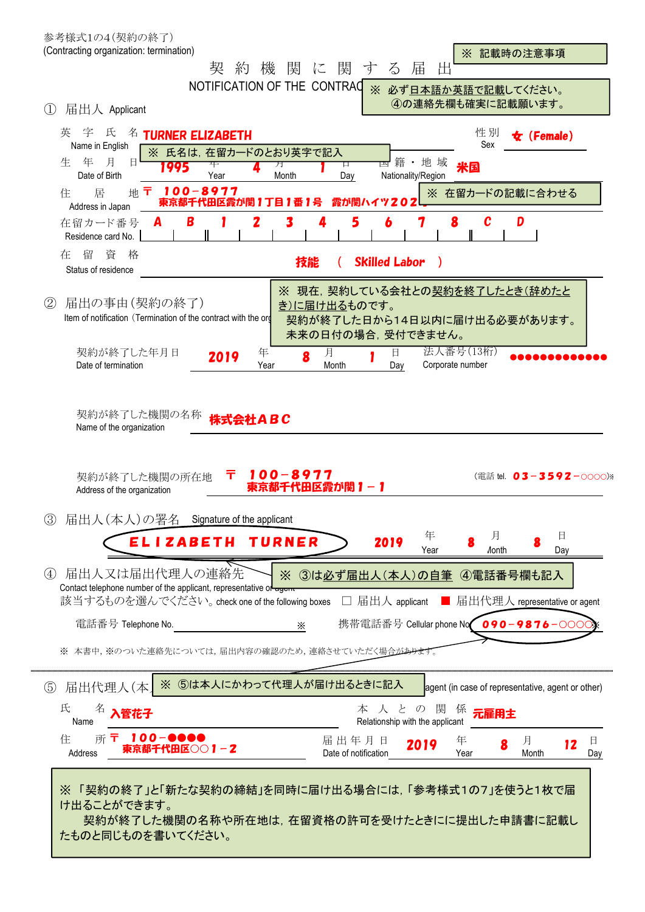| 参考様式1の4(契約の終了)<br>(Contracting organization: termination)<br>※ 記載時の注意事項                                                                                                                                                                                                                            |     |
|----------------------------------------------------------------------------------------------------------------------------------------------------------------------------------------------------------------------------------------------------------------------------------------------------|-----|
| に関<br>機<br>関<br>す<br>$\zeta$<br>届<br>出<br>栔<br>約<br>NOTIFICATION OF THE CONTRAC                                                                                                                                                                                                                    |     |
| ※ 必ず日本語か英語で記載してください。<br>4の連絡先欄も確実に記載願います。<br>(1)<br>届出人 Applicant                                                                                                                                                                                                                                  |     |
| 字 氏<br>性別<br>英<br>名<br><b>TURNER ELIZABETH</b><br>$\bm{\star}$ (Female)<br>Sex<br>Name in English<br>※ 氏名は、在留カードのとおり英字で記入<br>月<br>年<br>籍·地域<br>生<br>日<br>口<br>米国<br>995<br>月<br>Date of Birth<br>Nationality/Region<br>Year<br>Month<br>Day<br>$100 - 8977$<br>Ŧ<br>地<br>※ 在留カードの記載に合わせる<br>居<br>住 |     |
| 東京都千代田区霞が関1丁目1番1号<br>霞が関ハイ<br>Address in Japan<br>5<br>$\mathbf{c}$<br>B<br>2<br>8<br>D<br>6<br>7<br>3<br>在留カード番号<br>А<br>Residence card No.                                                                                                                                                       |     |
| 資<br>在<br>留<br>格<br><b>Skilled Labor</b><br>技能<br>$\rightarrow$<br>Status of residence                                                                                                                                                                                                             |     |
| ※ 現在, 契約している会社との契約を終了したとき(辞めたと<br>届出の事由(契約の終了)<br>(2)<br>き)に届け出るものです。<br>Item of notification (Termination of the contract with the org<br>契約が終了した日から14日以内に届け出る必要があります。<br>未来の日付の場合、受付できません。                                                                                                       |     |
| 法人番号(13桁)<br>契約が終了した年月日<br>月<br>年<br>日<br>8<br>2019<br>Corporate number<br>Date of termination<br>Year<br>Month<br>Day                                                                                                                                                                             |     |
| 100-8977<br>Ŧ<br>契約が終了した機関の所在地<br>(電話 tel. 03-3592-0000) ※<br>東京都千代田区霞が関1-1<br>Address of the organization<br>届出人(本人)の署名 Signature of the applicant<br>(3)<br>年<br>月<br>目<br>ELIZABETH TURNER<br>2019                                                                                              |     |
| Year<br>Day<br><b><i>A</i>onth</b><br>届出人又は届出代理人の連絡先<br>$\left( 4\right)$<br>3は必ず届出人(本人)の自筆 4電話番号欄も記入<br>$\times$<br>Contact telephone number of the applicant, representative or agent                                                                                                            |     |
| 該当するものを選んでください。 check one of the following boxes □ 届出人 applicant<br>■ 届出代理人 representative or agent                                                                                                                                                                                                |     |
| 携帯電話番号 Cellular phone No 090-9876-000<br>電話番号 Telephone No.<br>$\times$<br>※ 本書中、※のついた連絡先については、届出内容の確認のため、連絡させていただく場合があります                                                                                                                                                                         |     |
| ※ ⑤は本人にかわって代理人が届け出るときに記入<br>$\circledS$<br>届出代理人(本)<br>agent (in case of representative, agent or other)                                                                                                                                                                                           |     |
| 氏<br>$\mathcal{D}$<br>関<br>本 人 と<br>係<br>管花子<br>元雇用主<br>Relationship with the applicant<br>Name                                                                                                                                                                                                    |     |
| $100 - 0000$<br>所〒<br>住<br>届出年月日<br>月<br>年<br>8<br>2019<br>12<br><b>東京都千代田区○○1-2</b><br>Address<br>Date of notification<br>Year<br>Month                                                                                                                                                           | 日   |
| ※「契約の終了」と「新たな契約の締結」を同時に届け出る場合には,「参考様式1の7」を使うと1枚で届<br>け出ることができます。<br>契約が終了した機関の名称や所在地は,在留資格の許可を受けたときにに提出した申請書に記載し                                                                                                                                                                                   | Day |